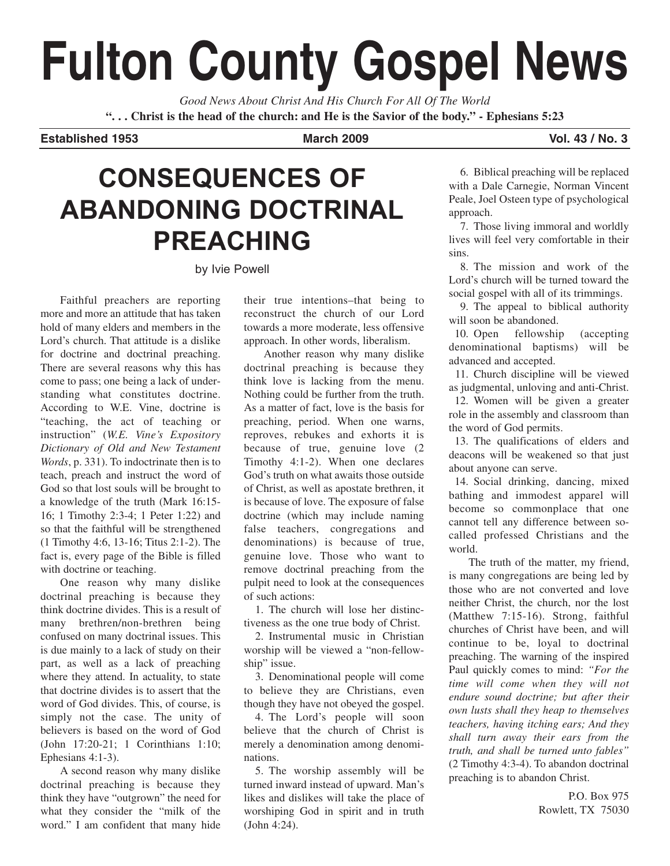# **Fulton County Gospel News**

*Good News About Christ And His Church For All Of The World* **". . . Christ is the head of the church: and He is the Savior of the body." - Ephesians 5:23**

**Established 1953 March 2009 Vol. 43 / No. 3**

## **CONSEQUENCES OF ABANDONING DOCTRINAL PREACHING**

by Ivie Powell

Faithful preachers are reporting more and more an attitude that has taken hold of many elders and members in the Lord's church. That attitude is a dislike for doctrine and doctrinal preaching. There are several reasons why this has come to pass; one being a lack of understanding what constitutes doctrine. According to W.E. Vine, doctrine is "teaching, the act of teaching or instruction" (*W.E. Vine's Expository Dictionary of Old and New Testament Words*, p. 331). To indoctrinate then is to teach, preach and instruct the word of God so that lost souls will be brought to a knowledge of the truth (Mark 16:15- 16; 1 Timothy 2:3-4; 1 Peter 1:22) and so that the faithful will be strengthened (1 Timothy 4:6, 13-16; Titus 2:1-2). The fact is, every page of the Bible is filled with doctrine or teaching.

One reason why many dislike doctrinal preaching is because they think doctrine divides. This is a result of many brethren/non-brethren being confused on many doctrinal issues. This is due mainly to a lack of study on their part, as well as a lack of preaching where they attend. In actuality, to state that doctrine divides is to assert that the word of God divides. This, of course, is simply not the case. The unity of believers is based on the word of God (John 17:20-21; 1 Corinthians 1:10; Ephesians 4:1-3).

A second reason why many dislike doctrinal preaching is because they think they have "outgrown" the need for what they consider the "milk of the word." I am confident that many hide their true intentions–that being to reconstruct the church of our Lord towards a more moderate, less offensive approach. In other words, liberalism.

Another reason why many dislike doctrinal preaching is because they think love is lacking from the menu. Nothing could be further from the truth. As a matter of fact, love is the basis for preaching, period. When one warns, reproves, rebukes and exhorts it is because of true, genuine love (2 Timothy 4:1-2). When one declares God's truth on what awaits those outside of Christ, as well as apostate brethren, it is because of love. The exposure of false doctrine (which may include naming false teachers, congregations and denominations) is because of true, genuine love. Those who want to remove doctrinal preaching from the pulpit need to look at the consequences of such actions:

1. The church will lose her distinctiveness as the one true body of Christ.

2. Instrumental music in Christian worship will be viewed a "non-fellowship" issue.

3. Denominational people will come to believe they are Christians, even though they have not obeyed the gospel.

4. The Lord's people will soon believe that the church of Christ is merely a denomination among denominations.

5. The worship assembly will be turned inward instead of upward. Man's likes and dislikes will take the place of worshiping God in spirit and in truth (John 4:24).

6. Biblical preaching will be replaced with a Dale Carnegie, Norman Vincent Peale, Joel Osteen type of psychological approach.

7. Those living immoral and worldly lives will feel very comfortable in their sins.

8. The mission and work of the Lord's church will be turned toward the social gospel with all of its trimmings.

9. The appeal to biblical authority will soon be abandoned.

10. Open fellowship (accepting denominational baptisms) will be advanced and accepted.

11. Church discipline will be viewed as judgmental, unloving and anti-Christ.

12. Women will be given a greater role in the assembly and classroom than the word of God permits.

13. The qualifications of elders and deacons will be weakened so that just about anyone can serve.

14. Social drinking, dancing, mixed bathing and immodest apparel will become so commonplace that one cannot tell any difference between socalled professed Christians and the world.

The truth of the matter, my friend, is many congregations are being led by those who are not converted and love neither Christ, the church, nor the lost (Matthew 7:15-16). Strong, faithful churches of Christ have been, and will continue to be, loyal to doctrinal preaching. The warning of the inspired Paul quickly comes to mind: *"For the time will come when they will not endure sound doctrine; but after their own lusts shall they heap to themselves teachers, having itching ears; And they shall turn away their ears from the truth, and shall be turned unto fables"* (2 Timothy 4:3-4). To abandon doctrinal preaching is to abandon Christ.

> P.O. Box 975 Rowlett, TX 75030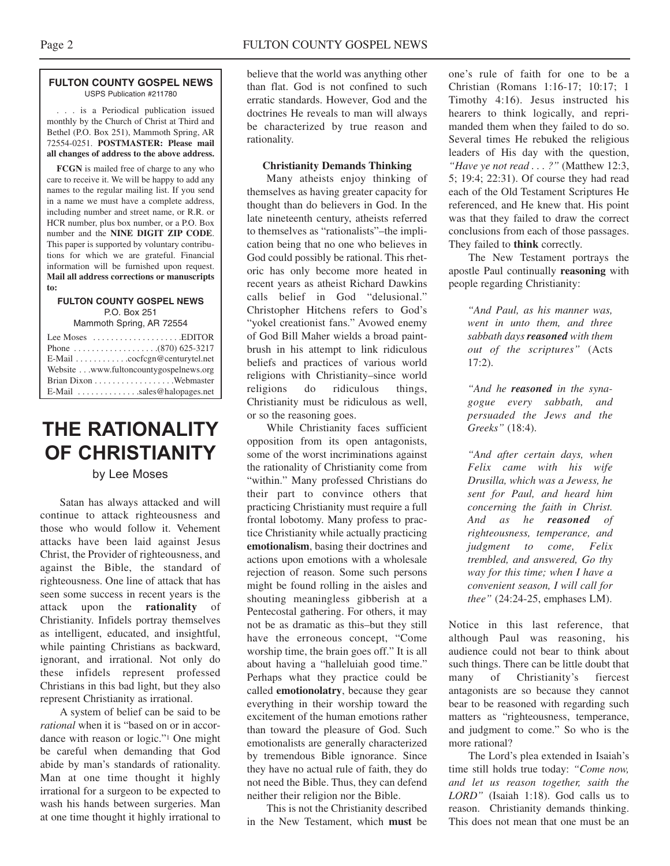#### **FULTON COUNTY GOSPEL NEWS** USPS Publication #211780

. . . is a Periodical publication issued monthly by the Church of Christ at Third and Bethel (P.O. Box 251), Mammoth Spring, AR 72554-0251. **POSTMASTER: Please mail all changes of address to the above address.**

**FCGN** is mailed free of charge to any who care to receive it. We will be happy to add any names to the regular mailing list. If you send in a name we must have a complete address, including number and street name, or R.R. or HCR number, plus box number, or a P.O. Box number and the **NINE DIGIT ZIP CODE**. This paper is supported by voluntary contributions for which we are grateful. Financial information will be furnished upon request. **Mail all address corrections or manuscripts to:**

#### **FULTON COUNTY GOSPEL NEWS** P.O. Box 251

Mammoth Spring, AR 72554

| Lee Moses $\dots\dots\dots\dots\dots\dots$ . EDITOR             |  |  |
|-----------------------------------------------------------------|--|--|
|                                                                 |  |  |
|                                                                 |  |  |
| Website www.fultoncountygospelnews.org                          |  |  |
|                                                                 |  |  |
| $E$ -Mail $\ldots$ , $\ldots$ , $\ldots$ , sales @halopages.net |  |  |

### **THE RATIONALITY OF CHRISTIANITY**

#### by Lee Moses

Satan has always attacked and will continue to attack righteousness and those who would follow it. Vehement attacks have been laid against Jesus Christ, the Provider of righteousness, and against the Bible, the standard of righteousness. One line of attack that has seen some success in recent years is the attack upon the **rationality** of Christianity. Infidels portray themselves as intelligent, educated, and insightful, while painting Christians as backward, ignorant, and irrational. Not only do these infidels represent professed Christians in this bad light, but they also represent Christianity as irrational.

A system of belief can be said to be *rational* when it is "based on or in accordance with reason or logic."1 One might be careful when demanding that God abide by man's standards of rationality. Man at one time thought it highly irrational for a surgeon to be expected to wash his hands between surgeries. Man at one time thought it highly irrational to

believe that the world was anything other than flat. God is not confined to such erratic standards. However, God and the doctrines He reveals to man will always be characterized by true reason and rationality.

#### **Christianity Demands Thinking**

Many atheists enjoy thinking of themselves as having greater capacity for thought than do believers in God. In the late nineteenth century, atheists referred to themselves as "rationalists"–the implication being that no one who believes in God could possibly be rational. This rhetoric has only become more heated in recent years as atheist Richard Dawkins calls belief in God "delusional." Christopher Hitchens refers to God's "yokel creationist fans." Avowed enemy of God Bill Maher wields a broad paintbrush in his attempt to link ridiculous beliefs and practices of various world religions with Christianity–since world religions do ridiculous things, Christianity must be ridiculous as well, or so the reasoning goes.

While Christianity faces sufficient opposition from its open antagonists, some of the worst incriminations against the rationality of Christianity come from "within." Many professed Christians do their part to convince others that practicing Christianity must require a full frontal lobotomy. Many profess to practice Christianity while actually practicing **emotionalism**, basing their doctrines and actions upon emotions with a wholesale rejection of reason. Some such persons might be found rolling in the aisles and shouting meaningless gibberish at a Pentecostal gathering. For others, it may not be as dramatic as this–but they still have the erroneous concept, "Come worship time, the brain goes off." It is all about having a "halleluiah good time." Perhaps what they practice could be called **emotionolatry**, because they gear everything in their worship toward the excitement of the human emotions rather than toward the pleasure of God. Such emotionalists are generally characterized by tremendous Bible ignorance. Since they have no actual rule of faith, they do not need the Bible. Thus, they can defend neither their religion nor the Bible.

This is not the Christianity described in the New Testament, which **must** be

one's rule of faith for one to be a Christian (Romans 1:16-17; 10:17; 1 Timothy 4:16). Jesus instructed his hearers to think logically, and reprimanded them when they failed to do so. Several times He rebuked the religious leaders of His day with the question, *"Have ye not read . . . ?"* (Matthew 12:3, 5; 19:4; 22:31). Of course they had read each of the Old Testament Scriptures He referenced, and He knew that. His point was that they failed to draw the correct conclusions from each of those passages. They failed to **think** correctly.

The New Testament portrays the apostle Paul continually **reasoning** with people regarding Christianity:

> *"And Paul, as his manner was, went in unto them, and three sabbath days reasoned with them out of the scriptures"* (Acts 17:2).

> *"And he reasoned in the synagogue every sabbath, and persuaded the Jews and the Greeks"* (18:4).

*"And after certain days, when Felix came with his wife Drusilla, which was a Jewess, he sent for Paul, and heard him concerning the faith in Christ. And as he reasoned of righteousness, temperance, and judgment to come, Felix trembled, and answered, Go thy way for this time; when I have a convenient season, I will call for thee"* (24:24-25, emphases LM).

Notice in this last reference, that although Paul was reasoning, his audience could not bear to think about such things. There can be little doubt that many of Christianity's fiercest antagonists are so because they cannot bear to be reasoned with regarding such matters as "righteousness, temperance, and judgment to come." So who is the more rational?

The Lord's plea extended in Isaiah's time still holds true today: *"Come now, and let us reason together, saith the LORD"* (Isaiah 1:18). God calls us to reason. Christianity demands thinking. This does not mean that one must be an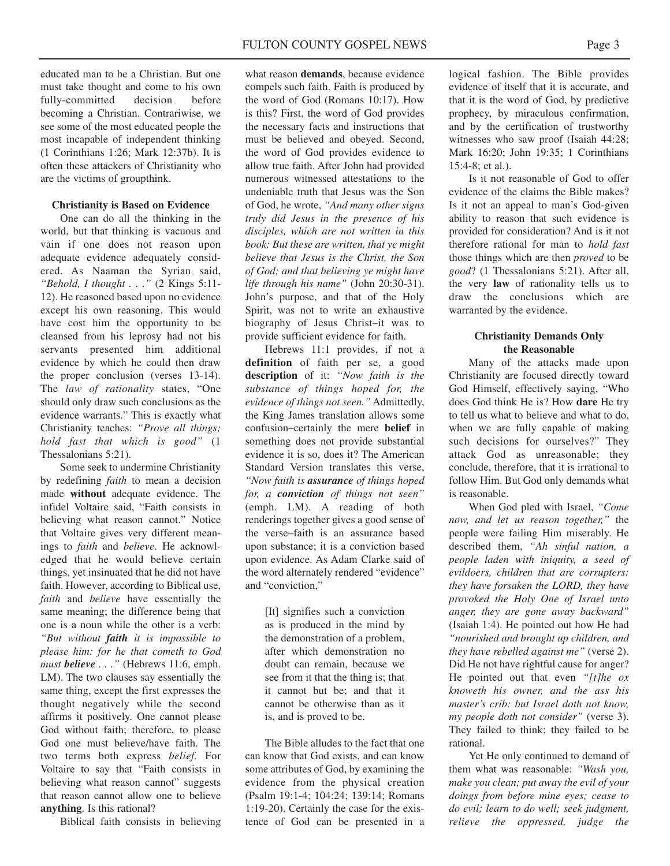educated man to be a Christian. But one must take thought and come to his own fully-committed decision before becoming a Christian. Contrariwise, we see some of the most educated people the most incapable of independent thinking (1 Corinthians 1:26; Mark 12:37b). It is often these attackers of Christianity who are the victims of groupthink.

#### **Christianity is Based on Evidence**

One can do all the thinking in the world, but that thinking is vacuous and vain if one does not reason upon adequate evidence adequately considered. As Naaman the Syrian said, *"Behold, I thought . . ."* (2 Kings 5:11- 12). He reasoned based upon no evidence except his own reasoning. This would have cost him the opportunity to be cleansed from his leprosy had not his servants presented him additional evidence by which he could then draw the proper conclusion (verses 13-14). The *law of rationality* states, "One should only draw such conclusions as the evidence warrants." This is exactly what Christianity teaches: *"Prove all things; hold fast that which is good"* (1 Thessalonians 5:21).

Some seek to undermine Christianity by redefining *faith* to mean a decision made **without** adequate evidence. The infidel Voltaire said, "Faith consists in believing what reason cannot." Notice that Voltaire gives very different meanings to *faith* and *believe*. He acknowledged that he would believe certain things, yet insinuated that he did not have faith. However, according to Biblical use, *faith* and *believe* have essentially the same meaning; the difference being that one is a noun while the other is a verb: *"But without faith it is impossible to please him: for he that cometh to God must believe . . ."* (Hebrews 11:6, emph. LM). The two clauses say essentially the same thing, except the first expresses the thought negatively while the second affirms it positively. One cannot please God without faith; therefore, to please God one must believe/have faith. The two terms both express *belief.* For Voltaire to say that "Faith consists in believing what reason cannot" suggests that reason cannot allow one to believe **anything**. Is this rational?

Biblical faith consists in believing

what reason **demands**, because evidence compels such faith. Faith is produced by the word of God (Romans 10:17). How is this? First, the word of God provides the necessary facts and instructions that must be believed and obeyed. Second, the word of God provides evidence to allow true faith. After John had provided numerous witnessed attestations to the undeniable truth that Jesus was the Son of God, he wrote, *"And many other signs truly did Jesus in the presence of his disciples, which are not written in this book: But these are written, that ye might believe that Jesus is the Christ, the Son of God; and that believing ye might have life through his name"* (John 20:30-31). John's purpose, and that of the Holy Spirit, was not to write an exhaustive biography of Jesus Christ–it was to provide sufficient evidence for faith.

Hebrews 11:1 provides, if not a **definition** of faith per se, a good **description** of it: *"Now faith is the substance of things hoped for, the evidence of things not seen."* Admittedly, the King James translation allows some confusion–certainly the mere **belief** in something does not provide substantial evidence it is so, does it? The American Standard Version translates this verse, *"Now faith is assurance of things hoped for, a conviction of things not seen"* (emph. LM). A reading of both renderings together gives a good sense of the verse–faith is an assurance based upon substance; it is a conviction based upon evidence. As Adam Clarke said of the word alternately rendered "evidence" and "conviction,"

> [It] signifies such a conviction as is produced in the mind by the demonstration of a problem, after which demonstration no doubt can remain, because we see from it that the thing is; that it cannot but be; and that it cannot be otherwise than as it is, and is proved to be.

The Bible alludes to the fact that one can know that God exists, and can know some attributes of God, by examining the evidence from the physical creation (Psalm 19:1-4; 104:24; 139:14; Romans 1:19-20). Certainly the case for the existence of God can be presented in a logical fashion. The Bible provides evidence of itself that it is accurate, and that it is the word of God, by predictive prophecy, by miraculous confirmation, and by the certification of trustworthy witnesses who saw proof (Isaiah 44:28; Mark 16:20; John 19:35; 1 Corinthians  $15.4 - 8$ ; et al.)

Is it not reasonable of God to offer evidence of the claims the Bible makes? Is it not an appeal to man's God-given ability to reason that such evidence is provided for consideration? And is it not therefore rational for man to *hold fast* those things which are then *proved* to be *good*? (1 Thessalonians 5:21). After all, the very **law** of rationality tells us to draw the conclusions which are warranted by the evidence.

#### **Christianity Demands Only the Reasonable**

Many of the attacks made upon Christianity are focused directly toward God Himself, effectively saying, "Who does God think He is? How **dare** He try to tell us what to believe and what to do, when we are fully capable of making such decisions for ourselves?" They attack God as unreasonable; they conclude, therefore, that it is irrational to follow Him. But God only demands what is reasonable.

When God pled with Israel, *"Come now, and let us reason together,"* the people were failing Him miserably. He described them, *"Ah sinful nation, a people laden with iniquity, a seed of evildoers, children that are corrupters: they have forsaken the LORD, they have provoked the Holy One of Israel unto anger, they are gone away backward"* (Isaiah 1:4). He pointed out how He had *"nourished and brought up children, and they have rebelled against me"* (verse 2). Did He not have rightful cause for anger? He pointed out that even *"[t]he ox knoweth his owner, and the ass his master's crib: but Israel doth not know, my people doth not consider"* (verse 3). They failed to think; they failed to be rational.

Yet He only continued to demand of them what was reasonable: *"Wash you, make you clean; put away the evil of your doings from before mine eyes; cease to do evil; learn to do well; seek judgment, relieve the oppressed, judge the*